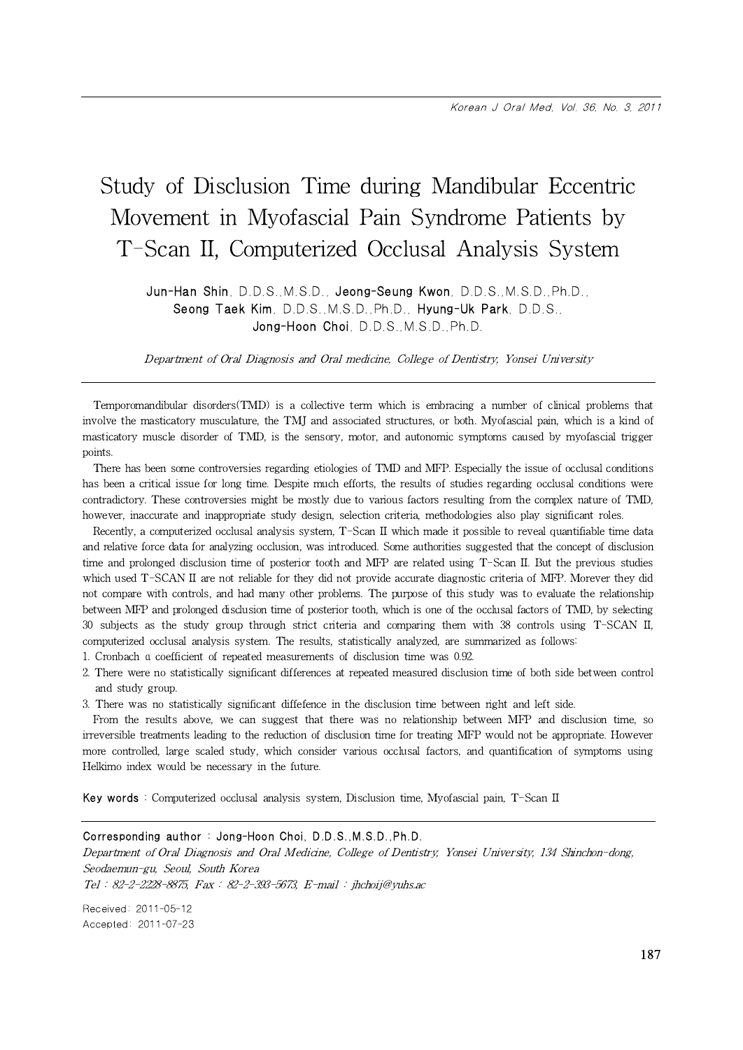Jun-Han Shin, D.D.S.,M.S.D., Jeong-Seung Kwon, D.D.S.,M.S.D.,Ph.D., Seong Taek Kim, D.D.S.,M.S.D.,Ph.D., Hyung-Uk Park, D.D.S., Jong-Hoon Choi, D.D.S.,M.S.D.,Ph.D.

Department of Oral Diagnosis and Oral medicine, College of Dentistry, Yonsei University

Temporomandibular disorders(TMD) is a collective term which is embracing a number of clinical problems that involve the masticatory musculature, the TMJ and associated structures, or both. Myofascial pain, which is a kind of masticatory muscle disorder of TMD, is the sensory, motor, and autonomic symptoms caused by myofascial trigger points.

There has been some controversies regarding etiologies of TMD and MFP. Especially the issue of occlusal conditions has been a critical issue for long time. Despite much efforts, the results of studies regarding occlusal conditions were contradictory. These controversies might be mostly due to various factors resulting from the complex nature of TMD, however, inaccurate and inappropriate study design, selection criteria, methodologies also play significant roles.

Recently, a computerized occlusal analysis system, T-Scan II which made it possible to reveal quantifiable time data and relative force data for analyzing occlusion, was introduced. Some authorities suggested that the concept of disclusion time and prolonged disclusion time of posterior tooth and MFP are related using T-Scan II. But the previous studies which used T-SCAN II are not reliable for they did not provide accurate diagnostic criteria of MFP. Morever they did not compare with controls, and had many other problems. The purpose of this study was to evaluate the relationship between MFP and prolonged disclusion time of posterior tooth, which is one of the occlusal factors of TMD, by selecting 30 subjects as the study group through strict criteria and comparing them with 38 controls using T-SCAN II, computerized occlusal analysis system. The results, statistically analyzed, are summarized as follows:

- 1. Cronbach α coefficient of repeated measurements of disclusion time was 0.92.
- 2. There were no statistically significant differences at repeated measured disclusion time of both side between control and study group.
- 3. There was no statistically significant diffefence in the disclusion time between right and left side.

From the results above, we can suggest that there was no relationship between MFP and disclusion time, so irreversible treatments leading to the reduction of disclusion time for treating MFP would not be appropriate. However more controlled, large scaled study, which consider various occlusal factors, and quantification of symptoms using Helkimo index would be necessary in the future.

Key words : Computerized occlusal analysis system, Disclusion time, Myofascial pain, T-Scan II

Corresponding author : Jong-Hoon Choi, D.D.S.,M.S.D.,Ph.D. Department of Oral Diagnosis and Oral Medicine, College of Dentistry, Yonsei University, 134 Shinchon-dong, Seodaemun-gu, Seoul, South Korea Tel : 82-2-2228-8875, Fax : 82-2-393-5673, E-mail : jhchoij@yuhs.ac Received: 2011-05-12

Accepted: 2011-07-23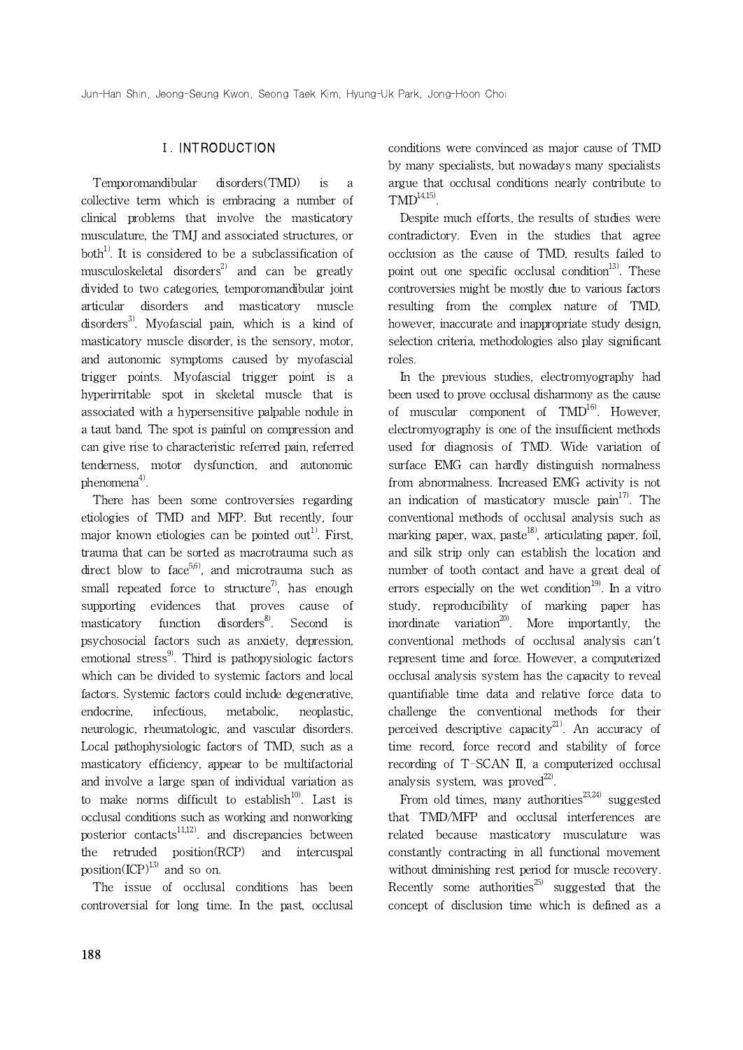# Ⅰ. INTRODUCTION

Temporomandibular disorders(TMD) is a collective term which is embracing a number of clinical problems that involve the masticatory musculature, the TMJ and associated structures, or both<sup>1)</sup>. It is considered to be a subclassification of musculoskeletal disorders<sup>2)</sup> and can be greatly divided to two categories, temporomandibular joint articular disorders and masticatory muscle disorders<sup>3)</sup>. Myofascial pain, which is a kind of masticatory muscle disorder, is the sensory, motor, and autonomic symptoms caused by myofascial trigger points. Myofascial trigger point is a hyperirritable spot in skeletal muscle that is associated with a hypersensitive palpable nodule in a taut band. The spot is painful on compression and can give rise to characteristic referred pain, referred tenderness, motor dysfunction, and autonomic  $phenomena<sup>4</sup>$ .

There has been some controversies regarding etiologies of TMD and MFP. But recently, four major known etiologies can be pointed out<sup>1)</sup>. First, trauma that can be sorted as macrotrauma such as direct blow to face<sup>5,6)</sup>, and microtrauma such as small repeated force to structure<sup>7</sup>, has enough supporting evidences that proves cause of masticatory function disorders<sup>8</sup>. Second is psychosocial factors such as anxiety, depression, emotional stress<sup>9)</sup>. Third is pathopysiologic factors which can be divided to systemic factors and local factors. Systemic factors could include degenerative, endocrine, infectious, metabolic, neoplastic, neurologic, rheumatologic, and vascular disorders. Local pathophysiologic factors of TMD, such as a masticatory efficiency, appear to be multifactorial and involve a large span of individual variation as to make norms difficult to establish $10$ <sup>10)</sup>. Last is occlusal conditions such as working and nonworking posterior contacts $11,12$ . and discrepancies between the retruded position(RCP) and intercuspal position(ICP)<sup>13)</sup> and so on.

The issue of occlusal conditions has been controversial for long time. In the past, occlusal

conditions were convinced as major cause of TMD by many specialists, but nowadays many specialists argue that occlusal conditions nearly contribute to  $TMD<sup>14,15)</sup>$ .

Despite much efforts, the results of studies were contradictory. Even in the studies that agree occlusion as the cause of TMD, results failed to point out one specific occlusal condition<sup>13)</sup>. These controversies might be mostly due to various factors resulting from the complex nature of TMD, however, inaccurate and inappropriate study design, selection criteria, methodologies also play significant roles.

In the previous studies, electromyography had been used to prove occlusal disharmony as the cause of muscular component of  $TMD<sup>16</sup>$ . However, electromyography is one of the insufficient methods used for diagnosis of TMD. Wide variation of surface EMG can hardly distinguish normalness from abnormalness. Increased EMG activity is not an indication of masticatory muscle  $\text{pain}^{17}$ . The conventional methods of occlusal analysis such as marking paper, wax, paste<sup>18)</sup>, articulating paper, foil, and silk strip only can establish the location and number of tooth contact and have a great deal of errors especially on the wet condition<sup>19)</sup>. In a vitro study, reproducibility of marking paper has inordinate variation<sup>20)</sup>. More importantly, the conventional methods of occlusal analysis can't represent time and force. However, a computerized occlusal analysis system has the capacity to reveal quantifiable time data and relative force data to challenge the conventional methods for their perceived descriptive capacity $^{21}$ . An accuracy of time record, force record and stability of force recording of T-SCAN II, a computerized occlusal analysis system, was proved $^{22}$ .

From old times, many authorities<sup>23,24)</sup> suggested that TMD/MFP and occlusal interferences are related because masticatory musculature was constantly contracting in all functional movement without diminishing rest period for muscle recovery. Recently some authorities<sup>25)</sup> suggested that the concept of disclusion time which is defined as a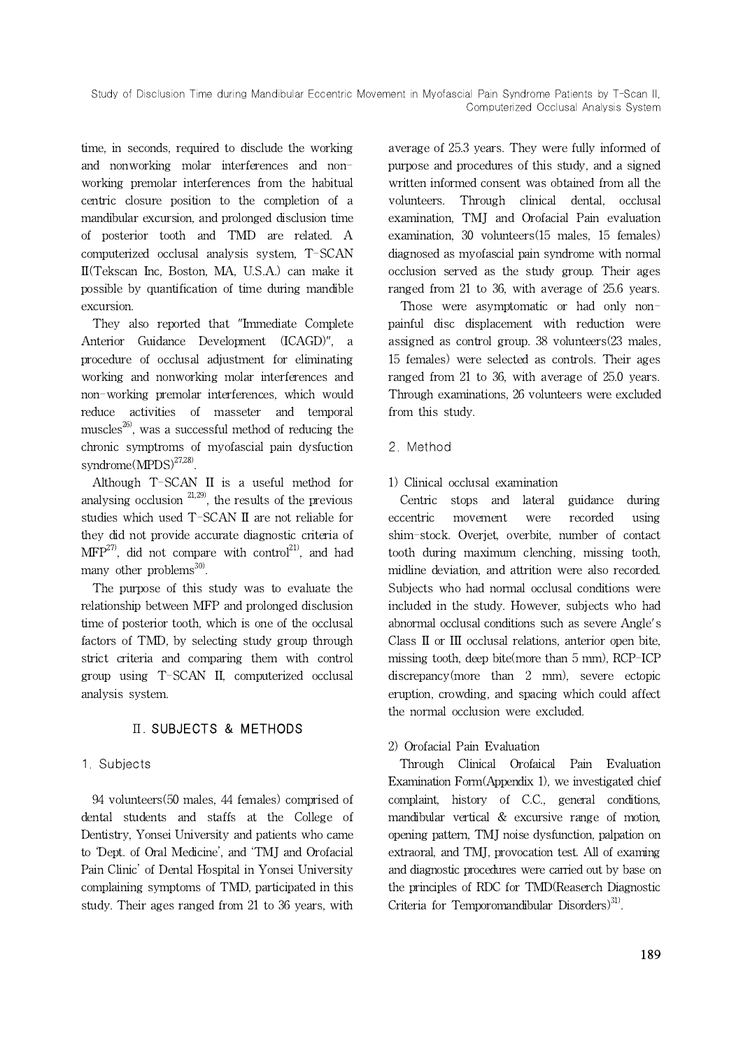time, in seconds, required to disclude the working and nonworking molar interferences and nonworking premolar interferences from the habitual centric closure position to the completion of a mandibular excursion, and prolonged disclusion time of posterior tooth and TMD are related. A computerized occlusal analysis system, T-SCAN II(Tekscan Inc, Boston, MA, U.S.A.) can make it possible by quantification of time during mandible excursion.

They also reported that "Immediate Complete Anterior Guidance Development (ICAGD)", a procedure of occlusal adjustment for eliminating working and nonworking molar interferences and non-working premolar interferences, which would reduce activities of masseter and temporal muscles<sup>26)</sup>, was a successful method of reducing the chronic symptroms of myofascial pain dysfuction syndrome(MPDS) $^{27,28}$ .

Although T-SCAN II is a useful method for analysing occlusion  $21,29$ , the results of the previous studies which used T-SCAN II are not reliable for they did not provide accurate diagnostic criteria of  $MFP^{27}$ , did not compare with control<sup>21)</sup>, and had many other problems $^{30}$ .

The purpose of this study was to evaluate the relationship between MFP and prolonged disclusion time of posterior tooth, which is one of the occlusal factors of TMD, by selecting study group through strict criteria and comparing them with control group using T-SCAN II, computerized occlusal analysis system.

# Ⅱ. SUBJECTS & METHODS

# 1. Subjects

94 volunteers(50 males, 44 females) comprised of dental students and staffs at the College of Dentistry, Yonsei University and patients who came to 'Dept. of Oral Medicine', and 'TMJ and Orofacial Pain Clinic' of Dental Hospital in Yonsei University complaining symptoms of TMD, participated in this study. Their ages ranged from 21 to 36 years, with average of 25.3 years. They were fully informed of purpose and procedures of this study, and a signed written informed consent was obtained from all the volunteers. Through clinical dental, occlusal examination, TMJ and Orofacial Pain evaluation examination, 30 volunteers(15 males, 15 females) diagnosed as myofascial pain syndrome with normal occlusion served as the study group. Their ages ranged from 21 to 36, with average of 25.6 years.

Those were asymptomatic or had only nonpainful disc displacement with reduction were assigned as control group. 38 volunteers(23 males, 15 females) were selected as controls. Their ages ranged from 21 to 36, with average of 25.0 years. Through examinations, 26 volunteers were excluded from this study.

- 2. Method
- 1) Clinical occlusal examination

Centric stops and lateral guidance during movement were recorded using shim-stock. Overjet, overbite, number of contact tooth during maximum clenching, missing tooth, midline deviation, and attrition were also recorded. Subjects who had normal occlusal conditions were included in the study. However, subjects who had abnormal occlusal conditions such as severe Angle's Class II or III occlusal relations, anterior open bite, missing tooth, deep bite(more than 5 mm), RCP-ICP discrepancy(more than 2 mm), severe ectopic eruption, crowding, and spacing which could affect the normal occlusion were excluded.

## 2) Orofacial Pain Evaluation

Through Clinical Orofaical Pain Evaluation Examination Form(Appendix 1), we investigated chief complaint, history of C.C., general conditions, mandibular vertical & excursive range of motion, opening pattern, TMJ noise dysfunction, palpation on extraoral, and TMJ, provocation test. All of examing and diagnostic procedures were carried out by base on the principles of RDC for TMD(Reaserch Diagnostic Criteria for Temporomandibular Disorders $)^{31}$ .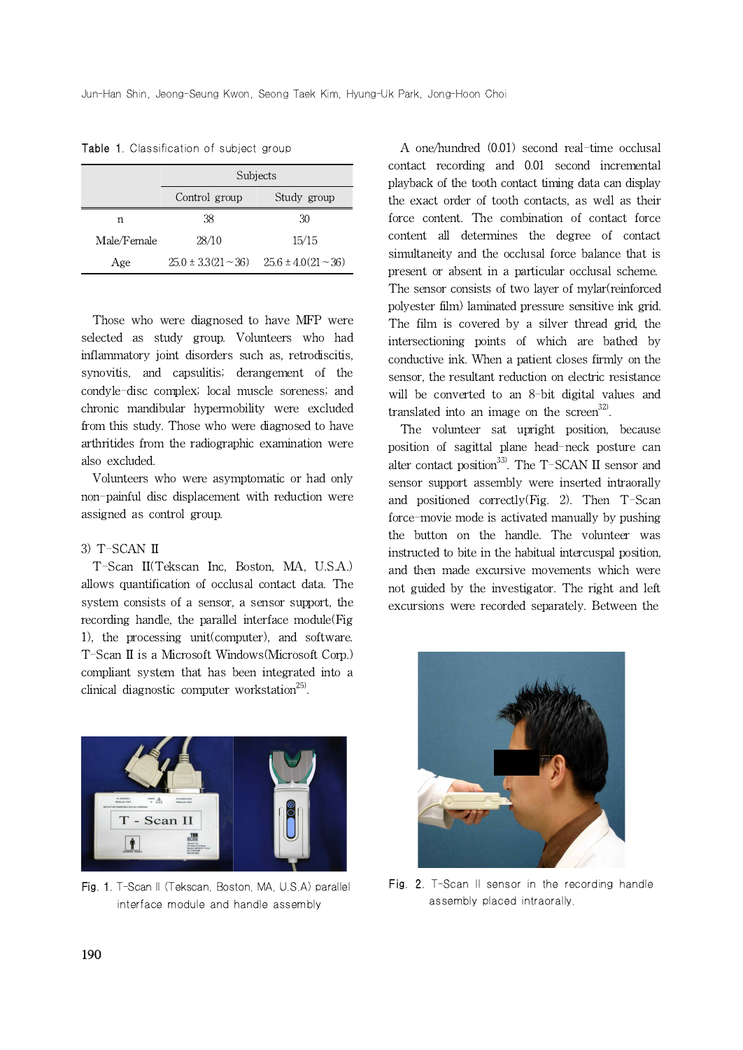|             | Subjects                                        |             |  |
|-------------|-------------------------------------------------|-------------|--|
|             | Control group                                   | Study group |  |
| n           | 38                                              | 30          |  |
| Male/Female | 28/10                                           | 15/15       |  |
| Age         | $25.0 \pm 3.3(21 - 36)$ $25.6 \pm 4.0(21 - 36)$ |             |  |

Table 1. Classification of subject group

Those who were diagnosed to have MFP were selected as study group. Volunteers who had inflammatory joint disorders such as, retrodiscitis, synovitis, and capsulitis; derangement of the condyle-disc complex; local muscle soreness; and chronic mandibular hypermobility were excluded from this study. Those who were diagnosed to have arthritides from the radiographic examination were also excluded.

Volunteers who were asymptomatic or had only non-painful disc displacement with reduction were assigned as control group.

#### 3) T-SCAN II

T-Scan II(Tekscan Inc, Boston, MA, U.S.A.) allows quantification of occlusal contact data. The system consists of a sensor, a sensor support, the recording handle, the parallel interface module(Fig 1), the processing unit(computer), and software. T-Scan II is a Microsoft Windows(Microsoft Corp.) compliant system that has been integrated into a clinical diagnostic computer workstation<sup>25)</sup>.



Fig. 1. T-Scan II (Tekscan, Boston, MA, U.S.A) parallel interface module and handle assembly

A one/hundred (0.01) second real-time occlusal contact recording and 0.01 second incremental playback of the tooth contact timing data can display the exact order of tooth contacts, as well as their force content. The combination of contact force content all determines the degree of contact simultaneity and the occlusal force balance that is present or absent in a particular occlusal scheme. The sensor consists of two layer of mylar(reinforced polyester film) laminated pressure sensitive ink grid. The film is covered by a silver thread grid, the intersectioning points of which are bathed by conductive ink. When a patient closes firmly on the sensor, the resultant reduction on electric resistance will be converted to an 8-bit digital values and translated into an image on the screen $^{32}$ .

The volunteer sat upright position, because position of sagittal plane head-neck posture can alter contact position<sup>33)</sup>. The T-SCAN II sensor and sensor support assembly were inserted intraorally and positioned correctly(Fig. 2). Then T-Scan force-movie mode is activated manually by pushing the button on the handle. The volunteer was instructed to bite in the habitual intercuspal position, and then made excursive movements which were not guided by the investigator. The right and left excursions were recorded separately. Between the



Fig. 2. T-Scan II sensor in the recording handle assembly placed intraorally.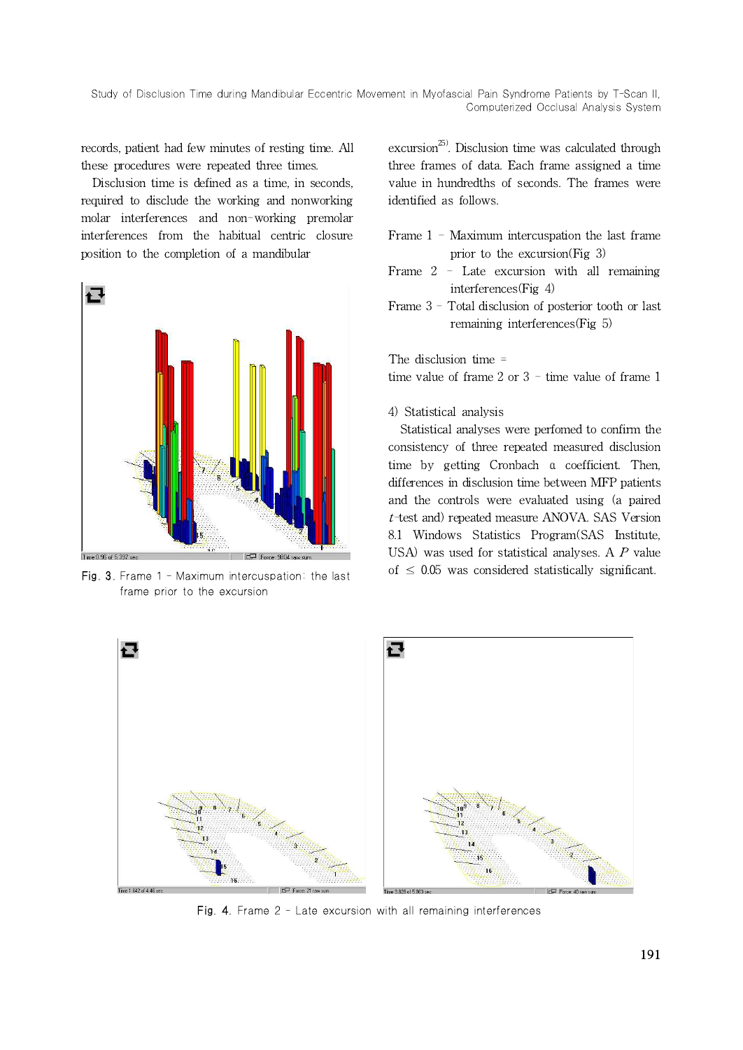records, patient had few minutes of resting time. All these procedures were repeated three times.

Disclusion time is defined as a time, in seconds, required to disclude the working and nonworking molar interferences and non-working premolar interferences from the habitual centric closure position to the completion of a mandibular



Fig. 3. Frame 1 - Maximum intercuspation: the last frame prior to the excursion

excursion<sup>25)</sup>. Disclusion time was calculated through three frames of data. Each frame assigned a time value in hundredths of seconds. The frames were identified as follows.

- Frame 1 Maximum intercuspation the last frame prior to the excursion(Fig 3)
- Frame 2 Late excursion with all remaining interferences(Fig 4)
- Frame  $3$  Total disclusion of posterior tooth or last remaining interferences(Fig 5)

The disclusion time =

time value of frame 2 or 3 - time value of frame 1

4) Statistical analysis

Statistical analyses were perfomed to confirm the consistency of three repeated measured disclusion time by getting Cronbach α coefficient. Then, differences in disclusion time between MFP patients and the controls were evaluated using (a paired t-test and) repeated measure ANOVA. SAS Version 8.1 Windows Statistics Program(SAS Institute, USA) was used for statistical analyses. A P value of  $\leq$  0.05 was considered statistically significant.



Fig. 4. Frame 2 - Late excursion with all remaining interferences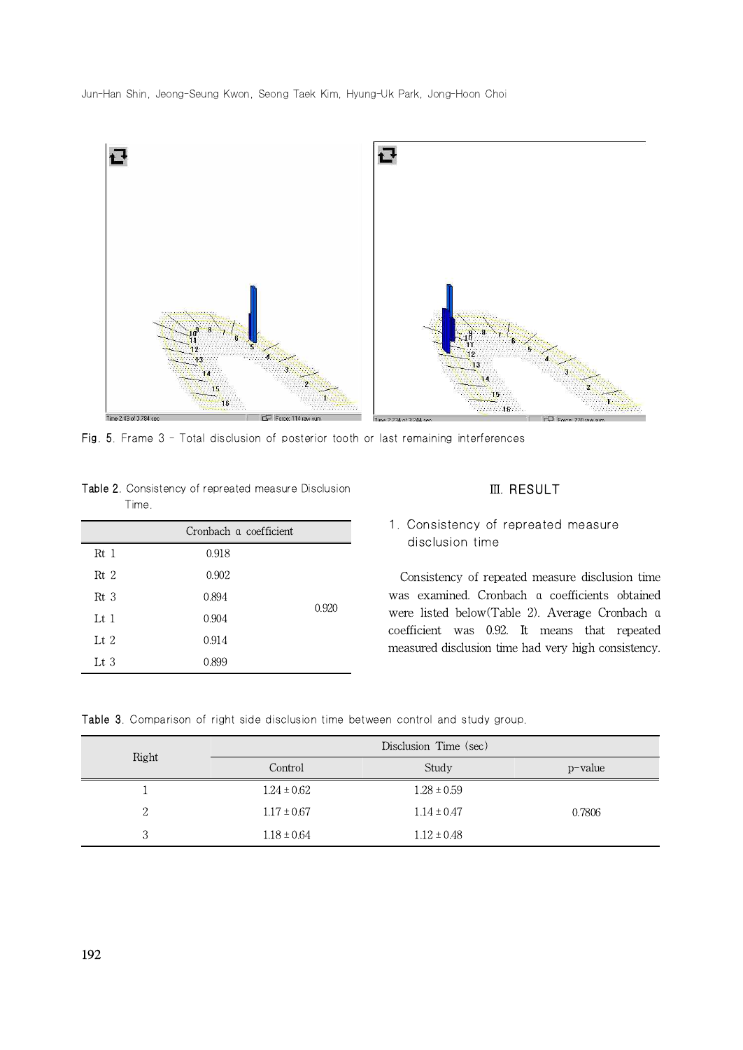Jun-Han Shin, Jeong-Seung Kwon, Seong Taek Kim, Hyung-Uk Park, Jong-Hoon Choi



Fig. 5. Frame 3 - Total disclusion of posterior tooth or last remaining interferences

| <b>Table 2.</b> Consistency of repreated measure Disclusion |  |
|-------------------------------------------------------------|--|
| Time.                                                       |  |

|                 | Cronbach a coefficient |       |
|-----------------|------------------------|-------|
| $Rt$ 1          | 0.918                  |       |
| Rt <sub>2</sub> | 0.902                  |       |
| Rt <sub>3</sub> | 0.894                  | 0.920 |
| $\rm{Lt}$ 1     | 0.904                  |       |
| Lt $2$          | 0.914                  |       |
| Lt $3$          | 0.899                  |       |

#### Ⅲ. RESULT

# 1. Consistency of repreated measure disclusion time

Consistency of repeated measure disclusion time was examined. Cronbach α coefficients obtained were listed below(Table 2). Average Cronbach α coefficient was 0.92. It means that repeated measured disclusion time had very high consistency.

|  | Table 3. Comparison of right side disclusion time between control and study group. |  |  |  |  |  |  |  |  |  |  |
|--|------------------------------------------------------------------------------------|--|--|--|--|--|--|--|--|--|--|
|--|------------------------------------------------------------------------------------|--|--|--|--|--|--|--|--|--|--|

|       | Disclusion Time (sec) |                 |            |  |  |
|-------|-----------------------|-----------------|------------|--|--|
| Right | Control               | Study           | $p$ -value |  |  |
|       | $1.24 \pm 0.62$       | $1.28 \pm 0.59$ |            |  |  |
| 2     | $1.17 \pm 0.67$       | $1.14 \pm 0.47$ | 0.7806     |  |  |
| 3     | $1.18 \pm 0.64$       | $1.12 \pm 0.48$ |            |  |  |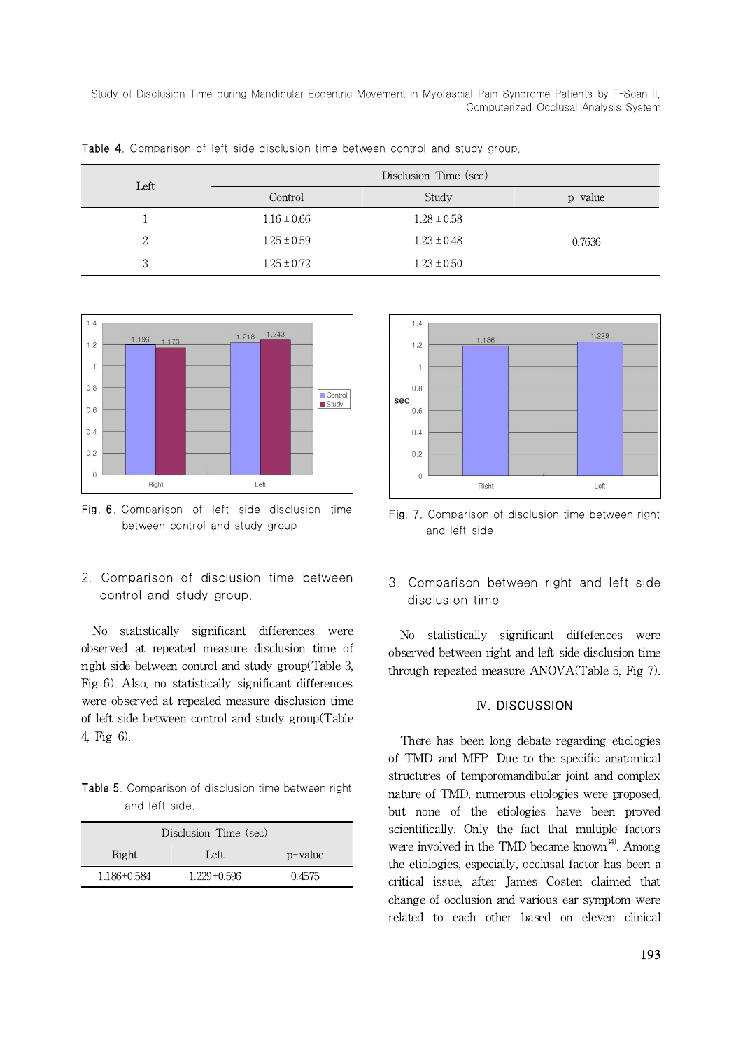| Left |                 | Disclusion Time (sec) |            |
|------|-----------------|-----------------------|------------|
|      | Control         | Study                 | $p$ -value |
|      | $1.16 \pm 0.66$ | $1.28 \pm 0.58$       |            |
| 2    | $1.25 \pm 0.59$ | $1.23 \pm 0.48$       | 0.7636     |
| 3    | $1.25 \pm 0.72$ | $1.23 \pm 0.50$       |            |

Table 4. Comparison of left side disclusion time between control and study group.



Fig. 6. Comparison of left side disclusion time between control and study group

2. Comparison of disclusion time between control and study group.

No statistically significant differences were observed at repeated measure disclusion time of right side between control and study group(Table 3, Fig 6). Also, no statistically significant differences were observed at repeated measure disclusion time of left side between control and study group(Table 4, Fig 6).

Table 5. Comparison of disclusion time between right and left side.

| Disclusion Time (sec) |                   |         |  |  |
|-----------------------|-------------------|---------|--|--|
| Right                 | Left              | p-value |  |  |
| 1.186±0.584           | $1.229 \pm 0.596$ | 0.4575  |  |  |



Fig. 7. Comparison of disclusion time between right and left side

3. Comparison between right and left side disclusion time

No statistically significant diffefences were observed between right and left side disclusion time through repeated measure ANOVA(Table 5, Fig 7).

#### Ⅳ. DISCUSSION

There has been long debate regarding etiologies of TMD and MFP. Due to the specific anatomical structures of temporomandibular joint and complex nature of TMD, numerous etiologies were proposed, but none of the etiologies have been proved scientifically. Only the fact that multiple factors were involved in the TMD became known<sup>34)</sup>. Among the etiologies, especially, occlusal factor has been a critical issue, after James Costen claimed that change of occlusion and various ear symptom were related to each other based on eleven clinical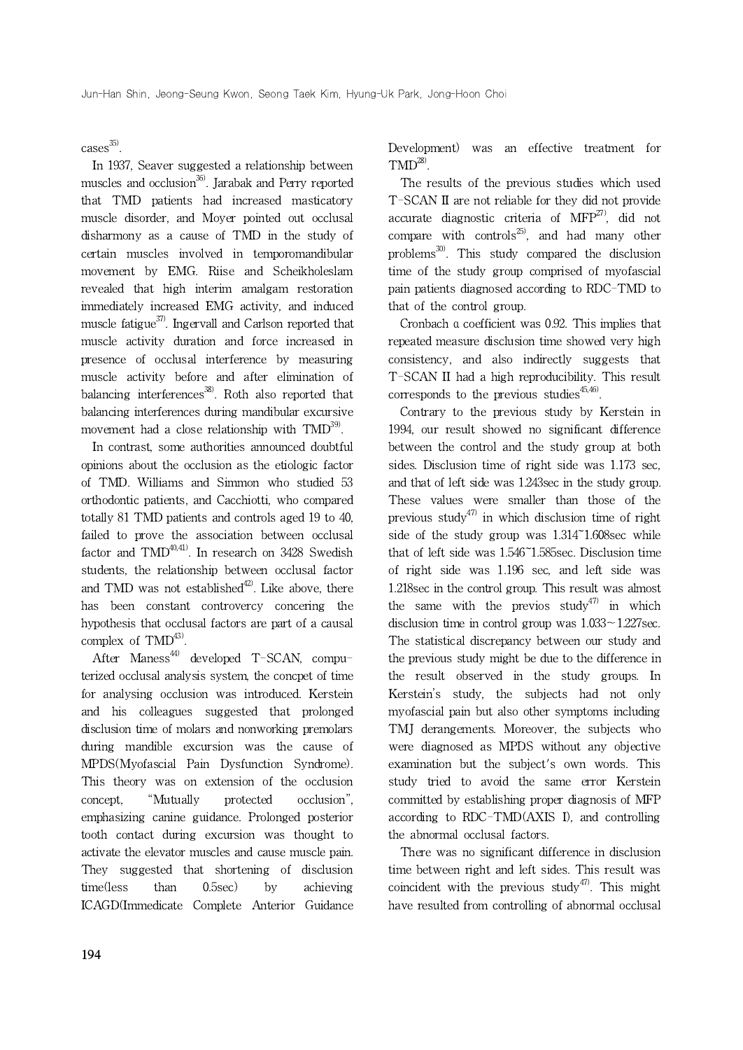$cases^{35)}$ .

In 1937, Seaver suggested a relationship between muscles and occlusion<sup>36)</sup>. Jarabak and Perry reported that TMD patients had increased masticatory muscle disorder, and Moyer pointed out occlusal disharmony as a cause of TMD in the study of certain muscles involved in temporomandibular movement by EMG. Riise and Scheikholeslam revealed that high interim amalgam restoration immediately increased EMG activity, and induced muscle fatigue $^{37}$ . Ingervall and Carlson reported that muscle activity duration and force increased in presence of occlusal interference by measuring muscle activity before and after elimination of balancing interferences $^{38}$ . Roth also reported that balancing interferences during mandibular excursive movement had a close relationship with TMD<sup>39</sup>.

In contrast, some authorities announced doubtful opinions about the occlusion as the etiologic factor of TMD. Williams and Simmon who studied 53 orthodontic patients, and Cacchiotti, who compared totally 81 TMD patients and controls aged 19 to 40, failed to prove the association between occlusal factor and  $TMD^{40,41}$ . In research on 3428 Swedish students, the relationship between occlusal factor and TMD was not established $42$ . Like above, there has been constant controvercy concering the hypothesis that occlusal factors are part of a causal complex of TMD<sup>43)</sup>.

After Maness<sup>44)</sup> developed T-SCAN, computerized occlusal analysis system, the concpet of time for analysing occlusion was introduced. Kerstein and his colleagues suggested that prolonged disclusion time of molars and nonworking premolars during mandible excursion was the cause of MPDS(Myofascial Pain Dysfunction Syndrome). This theory was on extension of the occlusion concept, "Mutually protected occlusion", emphasizing canine guidance. Prolonged posterior tooth contact during excursion was thought to activate the elevator muscles and cause muscle pain. They suggested that shortening of disclusion time(less than 0.5sec) by achieving ICAGD(Immedicate Complete Anterior Guidance Development) was an effective treatment for  $TMD^{28}$ .

The results of the previous studies which used T-SCAN II are not reliable for they did not provide accurate diagnostic criteria of  $MFP^{27}$ , did not compare with controls<sup>25</sup>, and had many other problems<sup>30)</sup>. This study compared the disclusion time of the study group comprised of myofascial pain patients diagnosed according to RDC-TMD to that of the control group.

Cronbach α coefficient was 0.92. This implies that repeated measure disclusion time showed very high consistency, and also indirectly suggests that T-SCAN II had a high reproducibility. This result corresponds to the previous studies $45,46$ .

Contrary to the previous study by Kerstein in 1994, our result showed no significant difference between the control and the study group at both sides. Disclusion time of right side was 1.173 sec, and that of left side was 1.243sec in the study group. These values were smaller than those of the previous study<sup>47)</sup> in which disclusion time of right side of the study group was 1.314~1.608sec while that of left side was 1.546~1.585sec. Disclusion time of right side was 1.196 sec, and left side was 1.218sec in the control group. This result was almost the same with the previos study<sup>47)</sup> in which disclusion time in control group was  $1.033 \sim 1.227$  sec. The statistical discrepancy between our study and the previous study might be due to the difference in the result observed in the study groups. In Kerstein's study, the subjects had not only myofascial pain but also other symptoms including TMJ derangements. Moreover, the subjects who were diagnosed as MPDS without any objective examination but the subject's own words. This study tried to avoid the same error Kerstein committed by establishing proper diagnosis of MFP according to RDC-TMD(AXIS I), and controlling the abnormal occlusal factors.

There was no significant difference in disclusion time between right and left sides. This result was coincident with the previous study<sup>47</sup>. This might have resulted from controlling of abnormal occlusal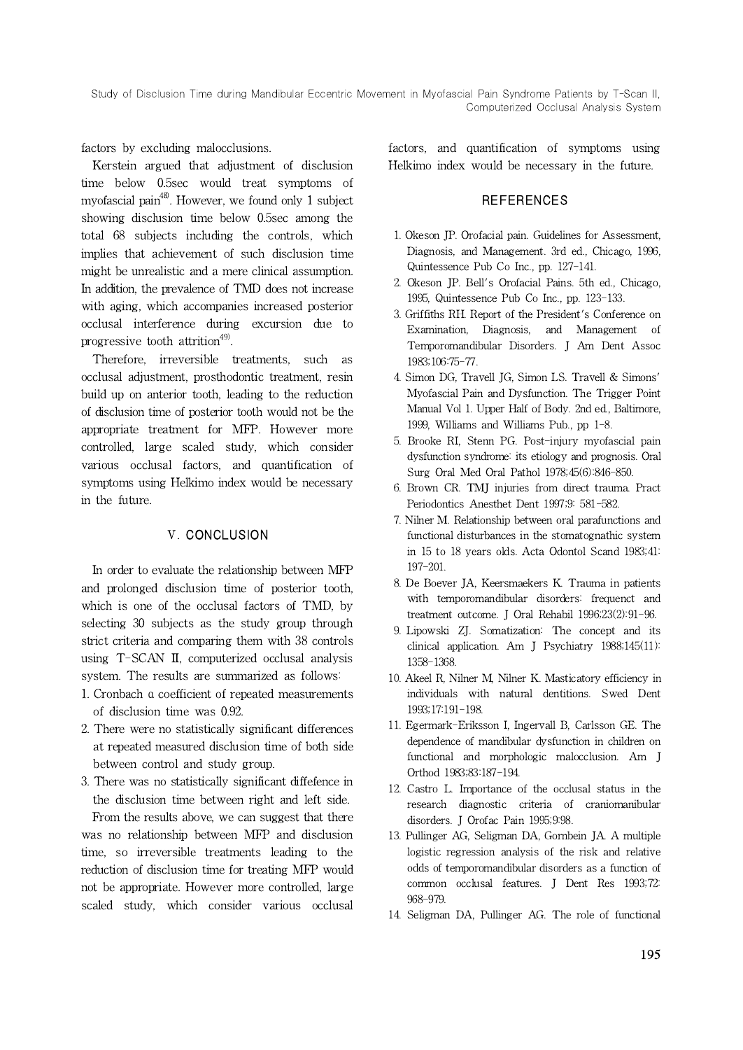factors by excluding malocclusions.

Kerstein argued that adjustment of disclusion time below 0.5sec would treat symptoms of myofascial pain<sup>48)</sup>. However, we found only 1 subject showing disclusion time below 0.5sec among the total 68 subjects including the controls, which implies that achievement of such disclusion time might be unrealistic and a mere clinical assumption. In addition, the prevalence of TMD does not increase with aging, which accompanies increased posterior occlusal interference during excursion due to progressive tooth attrition<sup>49)</sup>.

Therefore, irreversible treatments, such as occlusal adjustment, prosthodontic treatment, resin build up on anterior tooth, leading to the reduction of disclusion time of posterior tooth would not be the appropriate treatment for MFP. However more controlled, large scaled study, which consider various occlusal factors, and quantification of symptoms using Helkimo index would be necessary in the future.

# Ⅴ. CONCLUSION

In order to evaluate the relationship between MFP and prolonged disclusion time of posterior tooth, which is one of the occlusal factors of TMD, by selecting 30 subjects as the study group through strict criteria and comparing them with 38 controls using T-SCAN II, computerized occlusal analysis system. The results are summarized as follows:

- 1. Cronbach α coefficient of repeated measurements of disclusion time was 0.92.
- 2. There were no statistically significant differences at repeated measured disclusion time of both side between control and study group.
- 3. There was no statistically significant diffefence in the disclusion time between right and left side.

From the results above, we can suggest that there was no relationship between MFP and disclusion time, so irreversible treatments leading to the reduction of disclusion time for treating MFP would not be appropriate. However more controlled, large scaled study, which consider various occlusal

factors, and quantification of symptoms using Helkimo index would be necessary in the future.

## **REFERENCES**

- 1. Okeson JP. Orofacial pain. Guidelines for Assessment, Diagnosis, and Management. 3rd ed., Chicago, 1996, Quintessence Pub Co Inc., pp. 127-141.
- 2. Okeson JP. Bell's Orofacial Pains. 5th ed., Chicago, 1995, Quintessence Pub Co Inc., pp. 123-133.
- 3. Griffiths RH. Report of the President's Conference on Examination, Diagnosis, and Management of Temporomandibular Disorders. J Am Dent Assoc 1983;106:75-77.
- 4. Simon DG, Travell JG, Simon LS. Travell & Simons' Myofascial Pain and Dysfunction. The Trigger Point Manual Vol 1. Upper Half of Body. 2nd ed., Baltimore, 1999, Williams and Williams Pub., pp 1-8.
- 5. Brooke RI, Stenn PG. Post-injury myofascial pain dysfunction syndrome: its etiology and prognosis. Oral Surg Oral Med Oral Pathol 1978;45(6):846-850.
- 6. Brown CR. TMJ injuries from direct trauma. Pract Periodontics Anesthet Dent 1997;9: 581-582.
- 7. Nilner M. Relationship between oral parafunctions and functional disturbances in the stomatognathic system in 15 to 18 years olds. Acta Odontol Scand 1983;41: 197-201.
- 8. De Boever JA, Keersmaekers K. Trauma in patients with temporomandibular disorders: frequenct and treatment outcome. J Oral Rehabil 1996;23(2):91-96.
- 9. Lipowski ZJ. Somatization: The concept and its clinical application. Am J Psychiatry 1988;145(11): 1358-1368.
- 10. Akeel R, Nilner M, Nilner K. Masticatory efficiency in individuals with natural dentitions. Swed Dent 1993;17:191-198.
- 11. Egermark-Eriksson I, Ingervall B, Carlsson GE. The dependence of mandibular dysfunction in children on functional and morphologic malocclusion. Am J Orthod 1983;83:187-194.
- 12. Castro L. Importance of the occlusal status in the research diagnostic criteria of craniomanibular disorders. J Orofac Pain 1995;9:98.
- 13. Pullinger AG, Seligman DA, Gornbein JA. A multiple logistic regression analysis of the risk and relative odds of temporomandibular disorders as a function of common occlusal features. J Dent Res 1993;72: 968-979.
- 14. Seligman DA, Pullinger AG. The role of functional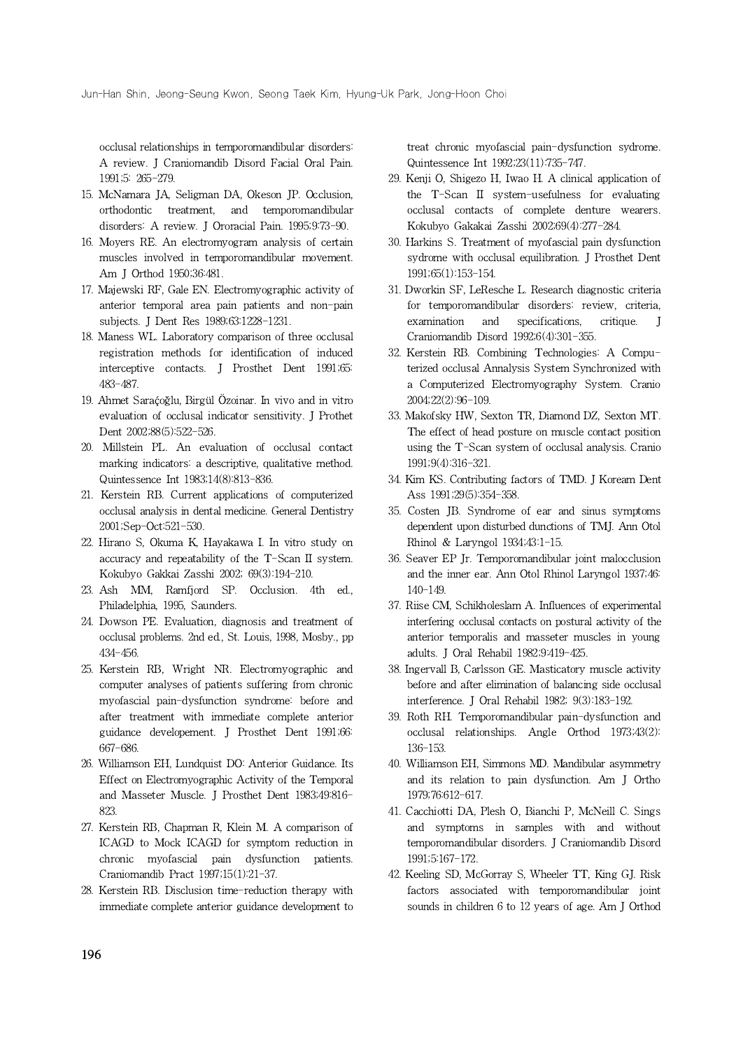occlusal relationships in temporomandibular disorders: A review. J Craniomandib Disord Facial Oral Pain. 1991;5: 265-279.

- 15. McNamara JA, Seligman DA, Okeson JP. Occlusion, orthodontic treatment, and temporomandibular disorders: A review. J Ororacial Pain. 1995;9:73-90.
- 16. Moyers RE. An electromyogram analysis of certain muscles involved in temporomandibular movement. Am J Orthod 1950;36:481.
- 17. Majewski RF, Gale EN. Electromyographic activity of anterior temporal area pain patients and non-pain subjects. J Dent Res 1989;63:1228-1231.
- 18. Maness WL. Laboratory comparison of three occlusal registration methods for identification of induced interceptive contacts. J Prosthet Dent 1991;65: 483-487.
- 19. Ahmet Saraḉoğlu, Birgül Özoinar. In vivo and in vitro evaluation of occlusal indicator sensitivity. J Prothet Dent 2002;88(5):522-526.
- 20. Millstein PL. An evaluation of occlusal contact marking indicators: a descriptive, qualitative method. Quintessence Int 1983;14(8):813-836.
- 21. Kerstein RB. Current applications of computerized occlusal analysis in dental medicine. General Dentistry 2001;Sep-Oct:521-530.
- 22. Hirano S, Okuma K, Hayakawa I. In vitro study on accuracy and repeatability of the T-Scan II system. Kokubyo Gakkai Zasshi 2002; 69(3):194-210.
- 23. Ash MM, Ramfjord SP. Occlusion. 4th ed., Philadelphia, 1995, Saunders.
- 24. Dowson PE. Evaluation, diagnosis and treatment of occlusal problems. 2nd ed., St. Louis, 1998, Mosby., pp 434-456.
- 25. Kerstein RB, Wright NR. Electromyographic and computer analyses of patients suffering from chronic myofascial pain-dysfunction syndrome: before and after treatment with immediate complete anterior guidance developement. J Prosthet Dent 1991;66: 667-686.
- 26. Williamson EH, Lundquist DO: Anterior Guidance. Its Effect on Electromyographic Activity of the Temporal and Masseter Muscle. J Prosthet Dent 1983;49:816- 823.
- 27. Kerstein RB, Chapman R, Klein M. A comparison of ICAGD to Mock ICAGD for symptom reduction in chronic myofascial pain dysfunction patients. Craniomandib Pract 1997;15(1):21-37.
- 28. Kerstein RB. Disclusion time-reduction therapy with immediate complete anterior guidance development to

treat chronic myofascial pain-dysfunction sydrome. Quintessence Int 1992;23(11):735-747.

- 29. Kenji O, Shigezo H, Iwao H. A clinical application of the T-Scan II system-usefulness for evaluating occlusal contacts of complete denture wearers. Kokubyo Gakakai Zasshi 2002;69(4):277-284.
- 30. Harkins S. Treatment of myofascial pain dysfunction sydrome with occlusal equilibration. J Prosthet Dent 1991;65(1):153-154.
- 31. Dworkin SF, LeResche L. Research diagnostic criteria for temporomandibular disorders: review, criteria, examination and specifications, critique. Craniomandib Disord 1992;6(4):301-355.
- 32. Kerstein RB. Combining Technologies: A Computerized occlusal Annalysis System Synchronized with a Computerized Electromyography System. Cranio 2004;22(2):96-109.
- 33. Makofsky HW, Sexton TR, Diamond DZ, Sexton MT. The effect of head posture on muscle contact position using the T-Scan system of occlusal analysis. Cranio 1991;9(4):316-321.
- 34. Kim KS. Contributing factors of TMD. J Koream Dent Ass 1991;29(5):354-358.
- 35. Costen JB. Syndrome of ear and sinus symptoms dependent upon disturbed dunctions of TMJ. Ann Otol Rhinol & Laryngol 1934;43:1-15.
- 36. Seaver EP Jr. Temporomandibular joint malocclusion and the inner ear. Ann Otol Rhinol Laryngol 1937;46: 140-149.
- 37. Riise CM, Schikholeslam A. Influences of experimental interfering occlusal contacts on postural activity of the anterior temporalis and masseter muscles in young adults. J Oral Rehabil 1982;9:419-425.
- 38. Ingervall B, Carlsson GE. Masticatory muscle activity before and after elimination of balancing side occlusal interference. J Oral Rehabil 1982; 9(3):183-192.
- 39. Roth RH. Temporomandibular pain-dysfunction and occlusal relationships. Angle Orthod 1973;43(2): 136-153.
- 40. Williamson EH, Simmons MD. Mandibular asymmetry and its relation to pain dysfunction. Am J Ortho 1979;76:612-617.
- 41. Cacchiotti DA, Plesh O, Bianchi P, McNeill C. Sings and symptoms in samples with and without temporomandibular disorders. J Craniomandib Disord 1991;5:167-172.
- 42. Keeling SD, McGorray S, Wheeler TT, King GJ. Risk factors associated with temporomandibular joint sounds in children 6 to 12 years of age. Am J Orthod